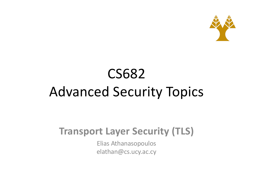

# CS682 Advanced Security Topics

#### **Transport Layer Security (TLS)**

Elias Athanasopoulos elathan@cs.ucy.ac.cy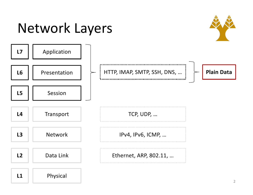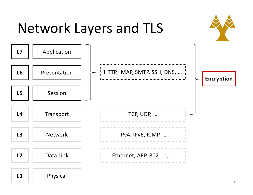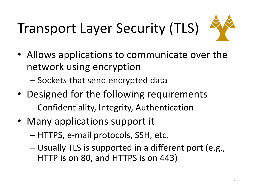# Transport Layer Security (TLS)



- Allows applications to communicate over the network using encryption
	- Sockets that send encrypted data
- Designed for the following requirements – Confidentiality, Integrity, Authentication
- Many applications support it
	- HTTPS, e-mail protocols, SSH, etc.
	- Usually TLS is supported in a different port (e.g., HTTP is on 80, and HTTPS is on 443)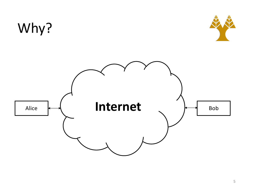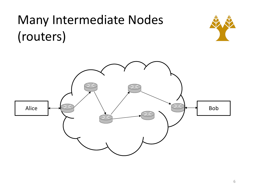#### Many Intermediate Nodes (routers)



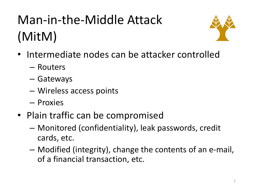# Man-in-the-Middle Attack (MitM)



- Intermediate nodes can be attacker controlled
	- Routers
	- Gateways
	- Wireless access points
	- Proxies
- Plain traffic can be compromised
	- Monitored (confidentiality), leak passwords, credit cards, etc.
	- Modified (integrity), change the contents of an e-mail, of a financial transaction, etc.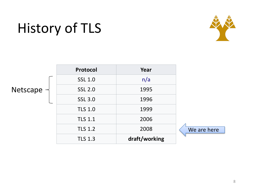## History of TLS



|                 | Protocol       | Year          |             |
|-----------------|----------------|---------------|-------------|
|                 | <b>SSL 1.0</b> | n/a           |             |
| Netscape $\neg$ | <b>SSL 2.0</b> | 1995          |             |
|                 | <b>SSL 3.0</b> | 1996          |             |
|                 | <b>TLS 1.0</b> | 1999          |             |
|                 | <b>TLS 1.1</b> | 2006          |             |
|                 | <b>TLS 1.2</b> | 2008          | We are here |
|                 | <b>TLS 1.3</b> | draft/working |             |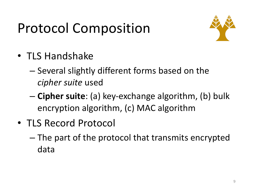## Protocol Composition



- TLS Handshake
	- Several slightly different forms based on the *cipher suite* used
	- **Cipher suite**: (a) key-exchange algorithm, (b) bulk encryption algorithm, (c) MAC algorithm
- TLS Record Protocol
	- The part of the protocol that transmits encrypted data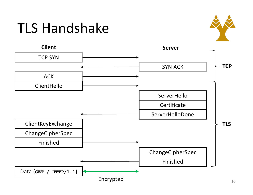#### TLS Handshake



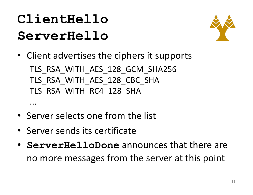#### **ClientHello ServerHello**

...



- Client advertises the ciphers it supports TLS RSA WITH AES 128 GCM SHA256 TLS RSA\_WITH\_AES\_128\_CBC\_SHA TLS RSA WITH RC4 128 SHA
- Server selects one from the list
- Server sends its certificate
- **ServerHelloDone** announces that there are no more messages from the server at this point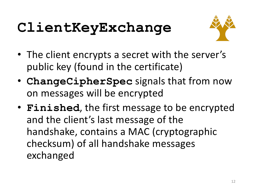# **ClientKeyExchange**



- The client encrypts a secret with the server's public key (found in the certificate)
- **ChangeCipherSpec** signals that from now on messages will be encrypted
- **Finished**, the first message to be encrypted and the client's last message of the handshake, contains a MAC (cryptographic checksum) of all handshake messages exchanged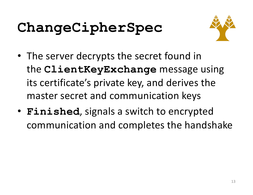# **ChangeCipherSpec**



- The server decrypts the secret found in the **ClientKeyExchange** message using its certificate's private key, and derives the master secret and communication keys
- **Finished**, signals a switch to encrypted communication and completes the handshake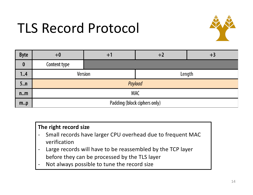#### TLS Record Protocol



| <b>Byte</b>      | $+0$                         | $+^{\text{^{\text{-}}}}$ | $+2$   | $+3$ |  |  |
|------------------|------------------------------|--------------------------|--------|------|--|--|
| $\boldsymbol{0}$ | Content type                 |                          |        |      |  |  |
| 14               |                              | <b>Version</b>           | Length |      |  |  |
| $5.$ .n          | Payload                      |                          |        |      |  |  |
| n.m              | <b>MAC</b>                   |                          |        |      |  |  |
| m.p              | Padding (block ciphers only) |                          |        |      |  |  |

#### **The right record size**

- Small records have larger CPU overhead due to frequent MAC verification
- Large records will have to be reassembled by the TCP layer before they can be processed by the TLS layer
- Not always possible to tune the record size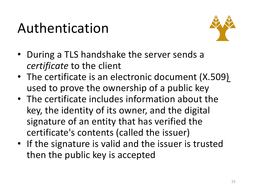#### Authentication



- During a TLS handshake the server sends a *certificate* to the client
- The certificate is an electronic document (X.509) used to prove the ownership of a public key
- The certificate includes information about the key, the identity of its owner, and the digital signature of an entity that has verified the certificate's contents (called the issuer)
- If the signature is valid and the issuer is trusted then the public key is accepted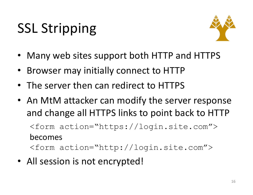# SSL Stripping



- Many web sites support both HTTP and HTTPS
- Browser may initially connect to HTTP
- The server then can redirect to HTTPS
- An MtM attacker can modify the server response and change all HTTPS links to point back to HTTP <form action="https://login.site.com">

becomes <form action="http://login.site.com">

• All session is not encrypted!